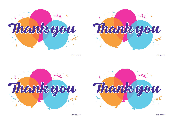

Charity Reg No. 802559

Thank you